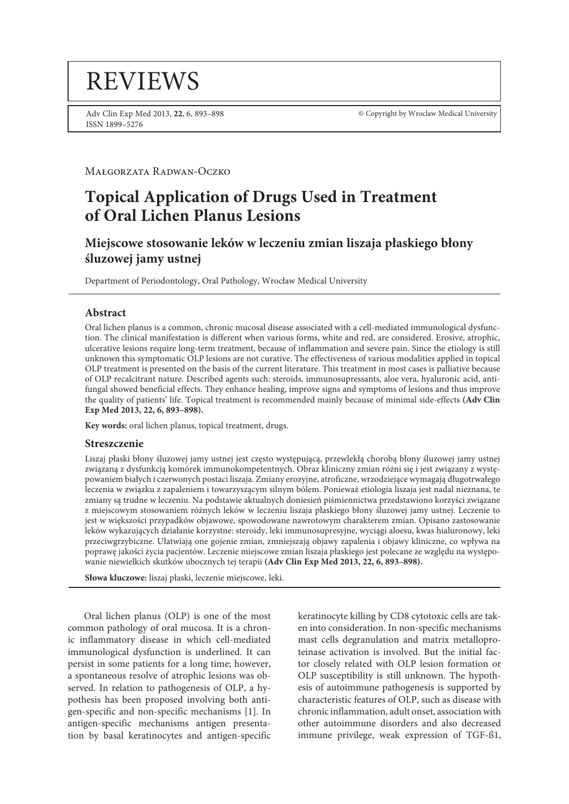# **REVIEWS**

Adv Clin Exp Med 2013, **22**, 6, 893–898 ISSN 1899–5276

© Copyright by Wroclaw Medical University

Małgorzata Radwan-Oczko

## **Topical Application of Drugs Used in Treatment of Oral Lichen Planus Lesions**

## **Miejscowe stosowanie leków w leczeniu zmian liszaja płaskiego błony śluzowej jamy ustnej**

Department of Periodontology, Oral Pathology, Wrocław Medical University

#### **Abstract**

Oral lichen planus is a common, chronic mucosal disease associated with a cell-mediated immunological dysfunction. The clinical manifestation is different when various forms, white and red, are considered. Erosive, atrophic, ulcerative lesions require long-term treatment, because of inflammation and severe pain. Since the etiology is still unknown this symptomatic OLP lesions are not curative. The effectiveness of various modalities applied in topical OLP treatment is presented on the basis of the current literature. This treatment in most cases is palliative because of OLP recalcitrant nature. Described agents such: steroids, immunosupressants, aloe vera, hyaluronic acid, antifungal showed beneficial effects. They enhance healing, improve signs and symptoms of lesions and thus improve the quality of patients' life. Topical treatment is recommended mainly because of minimal side-effects **(Adv Clin Exp Med 2013, 22, 6, 893–898).**

**Key words:** oral lichen planus, topical treatment, drugs.

#### **Streszczenie**

Liszaj płaski błony śluzowej jamy ustnej jest często występującą, przewlekłą chorobą błony śluzowej jamy ustnej związaną z dysfunkcją komórek immunokompetentnych. Obraz kliniczny zmian różni się i jest związany z występowaniem białych i czerwonych postaci liszaja. Zmiany erozyjne, atroficzne, wrzodziejące wymagają długotrwałego leczenia w związku z zapaleniem i towarzyszącym silnym bólem. Ponieważ etiologia liszaja jest nadal nieznana, te zmiany są trudne w leczeniu. Na podstawie aktualnych doniesień piśmiennictwa przedstawiono korzyści związane z miejscowym stosowaniem różnych leków w leczeniu liszaja płaskiego błony śluzowej jamy ustnej. Leczenie to jest w większości przypadków objawowe, spowodowane nawrotowym charakterem zmian. Opisano zastosowanie leków wykazujących działanie korzystne: steroidy, leki immunosupresyjne, wyciągi aloesu, kwas hialuronowy, leki przeciwgrzybiczne. Ułatwiają one gojenie zmian, zmniejszają objawy zapalenia i objawy kliniczne, co wpływa na poprawę jakości życia pacjentów. Leczenie miejscowe zmian liszaja płaskiego jest polecane ze względu na występowanie niewielkich skutków ubocznych tej terapii **(Adv Clin Exp Med 2013, 22, 6, 893–898).**

**Słowa kluczowe:** liszaj płaski, leczenie miejscowe, leki.

Oral lichen planus (OLP) is one of the most common pathology of oral mucosa. It is a chronic inflammatory disease in which cell-mediated immunological dysfunction is underlined. It can persist in some patients for a long time; however, a spontaneous resolve of atrophic lesions was observed. In relation to pathogenesis of OLP, a hypothesis has been proposed involving both antigen-specific and non-specific mechanisms [1]. In antigen-specific mechanisms antigen presentation by basal keratinocytes and antigen-specific keratinocyte killing by CD8 cytotoxic cells are taken into consideration. In non-specific mechanisms mast cells degranulation and matrix metalloproteinase activation is involved. But the initial factor closely related with OLP lesion formation or OLP susceptibility is still unknown. The hypothesis of autoimmune pathogenesis is supported by characteristic features of OLP, such as disease with chronic inflammation, adult onset, association with other autoimmune disorders and also decreased immune privilege, weak expression of TGF-ß1,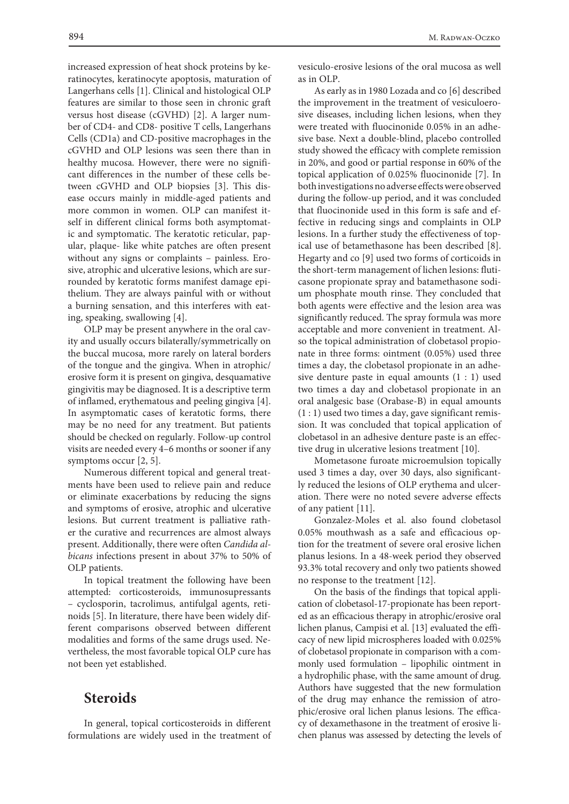increased expression of heat shock proteins by keratinocytes, keratinocyte apoptosis, maturation of Langerhans cells [1]. Clinical and histological OLP features are similar to those seen in chronic graft versus host disease (cGVHD) [2]. A larger number of CD4- and CD8- positive T cells, Langerhans Cells (CD1a) and CD-positive macrophages in the cGVHD and OLP lesions was seen there than in healthy mucosa. However, there were no significant differences in the number of these cells between cGVHD and OLP biopsies [3]. This disease occurs mainly in middle-aged patients and more common in women. OLP can manifest itself in different clinical forms both asymptomatic and symptomatic. The keratotic reticular, papular, plaque- like white patches are often present without any signs or complaints – painless. Erosive, atrophic and ulcerative lesions, which are surrounded by keratotic forms manifest damage epithelium. They are always painful with or without a burning sensation, and this interferes with eating, speaking, swallowing [4].

OLP may be present anywhere in the oral cavity and usually occurs bilaterally/symmetrically on the buccal mucosa, more rarely on lateral borders of the tongue and the gingiva. When in atrophic/ erosive form it is present on gingiva, desquamative gingivitis may be diagnosed. It is a descriptive term of inflamed, erythematous and peeling gingiva [4]. In asymptomatic cases of keratotic forms, there may be no need for any treatment. But patients should be checked on regularly. Follow-up control visits are needed every 4–6 months or sooner if any symptoms occur [2, 5].

Numerous different topical and general treatments have been used to relieve pain and reduce or eliminate exacerbations by reducing the signs and symptoms of erosive, atrophic and ulcerative lesions. But current treatment is palliative rather the curative and recurrences are almost always present. Additionally, there were often *Candida albicans* infections present in about 37% to 50% of OLP patients.

In topical treatment the following have been attempted: corticosteroids, immunosupressants – cyclosporin, tacrolimus, antifulgal agents, retinoids [5]. In literature, there have been widely different comparisons observed between different modalities and forms of the same drugs used. Nevertheless, the most favorable topical OLP cure has not been yet established.

## **Steroids**

In general, topical corticosteroids in different formulations are widely used in the treatment of vesiculo-erosive lesions of the oral mucosa as well as in OLP.

As early as in 1980 Lozada and co [6] described the improvement in the treatment of vesiculoerosive diseases, including lichen lesions, when they were treated with fluocinonide 0.05% in an adhesive base. Next a double-blind, placebo controlled study showed the efficacy with complete remission in 20%, and good or partial response in 60% of the topical application of 0.025% fluocinonide [7]. In both investigations no adverse effects were observed during the follow-up period, and it was concluded that fluocinonide used in this form is safe and effective in reducing sings and complaints in OLP lesions. In a further study the effectiveness of topical use of betamethasone has been described [8]. Hegarty and co [9] used two forms of corticoids in the short-term management of lichen lesions: fluticasone propionate spray and batamethasone sodium phosphate mouth rinse. They concluded that both agents were effective and the lesion area was significantly reduced. The spray formula was more acceptable and more convenient in treatment. Also the topical administration of clobetasol propionate in three forms: ointment (0.05%) used three times a day, the clobetasol propionate in an adhesive denture paste in equal amounts (1 : 1) used two times a day and clobetasol propionate in an oral analgesic base (Orabase-B) in equal amounts (1 : 1) used two times a day, gave significant remission. It was concluded that topical application of clobetasol in an adhesive denture paste is an effective drug in ulcerative lesions treatment [10].

Mometasone furoate microemulsion topically used 3 times a day, over 30 days, also significantly reduced the lesions of OLP erythema and ulceration. There were no noted severe adverse effects of any patient [11].

Gonzalez-Moles et al. also found clobetasol 0.05% mouthwash as a safe and efficacious option for the treatment of severe oral erosive lichen planus lesions. In a 48-week period they observed 93.3% total recovery and only two patients showed no response to the treatment [12].

On the basis of the findings that topical application of clobetasol-17-propionate has been reported as an efficacious therapy in atrophic/erosive oral lichen planus, Campisi et al. [13] evaluated the efficacy of new lipid microspheres loaded with 0.025% of clobetasol propionate in comparison with a commonly used formulation – lipophilic ointment in a hydrophilic phase, with the same amount of drug. Authors have suggested that the new formulation of the drug may enhance the remission of atrophic/erosive oral lichen planus lesions. The efficacy of dexamethasone in the treatment of erosive lichen planus was assessed by detecting the levels of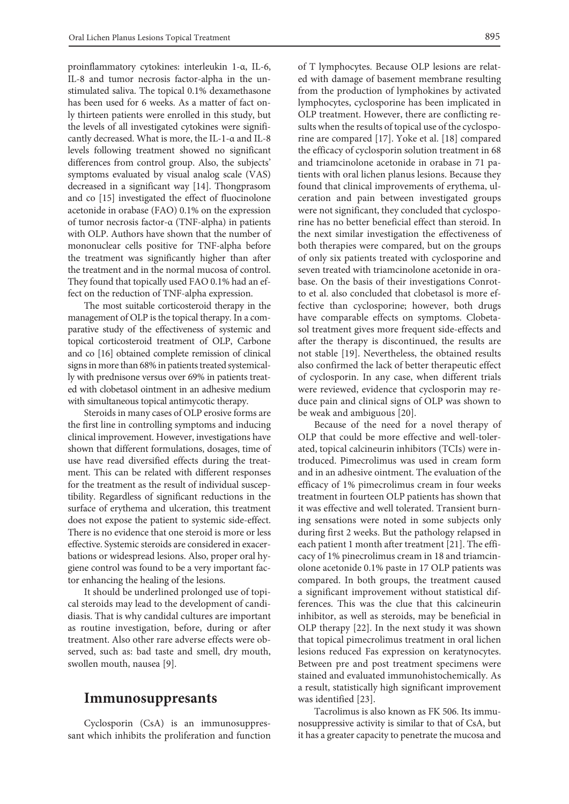proinflammatory cytokines: interleukin 1-α, IL-6, IL-8 and tumor necrosis factor-alpha in the unstimulated saliva. The topical 0.1% dexamethasone has been used for 6 weeks. As a matter of fact only thirteen patients were enrolled in this study, but the levels of all investigated cytokines were significantly decreased. What is more, the IL-1-α and IL-8 levels following treatment showed no significant differences from control group. Also, the subjects' symptoms evaluated by visual analog scale (VAS) decreased in a significant way [14]. Thongprasom and co [15] investigated the effect of fluocinolone acetonide in orabase (FAO) 0.1% on the expression of tumor necrosis factor-α (TNF-alpha) in patients with OLP. Authors have shown that the number of mononuclear cells positive for TNF-alpha before the treatment was significantly higher than after the treatment and in the normal mucosa of control. They found that topically used FAO 0.1% had an effect on the reduction of TNF-alpha expression.

The most suitable corticosteroid therapy in the management of OLP is the topical therapy. In a comparative study of the effectiveness of systemic and topical corticosteroid treatment of OLP, Carbone and co [16] obtained complete remission of clinical signs in more than 68% in patients treated systemically with prednisone versus over 69% in patients treated with clobetasol ointment in an adhesive medium with simultaneous topical antimycotic therapy.

Steroids in many cases of OLP erosive forms are the first line in controlling symptoms and inducing clinical improvement. However, investigations have shown that different formulations, dosages, time of use have read diversified effects during the treatment. This can be related with different responses for the treatment as the result of individual susceptibility. Regardless of significant reductions in the surface of erythema and ulceration, this treatment does not expose the patient to systemic side-effect. There is no evidence that one steroid is more or less effective. Systemic steroids are considered in exacerbations or widespread lesions. Also, proper oral hygiene control was found to be a very important factor enhancing the healing of the lesions.

It should be underlined prolonged use of topical steroids may lead to the development of candidiasis. That is why candidal cultures are important as routine investigation, before, during or after treatment. Also other rare adverse effects were observed, such as: bad taste and smell, dry mouth, swollen mouth, nausea [9].

### **Immunosuppresants**

Cyclosporin (CsA) is an immunosuppressant which inhibits the proliferation and function of T lymphocytes. Because OLP lesions are related with damage of basement membrane resulting from the production of lymphokines by activated lymphocytes, cyclosporine has been implicated in OLP treatment. However, there are conflicting results when the results of topical use of the cyclosporine are compared [17]. Yoke et al. [18] compared the efficacy of cyclosporin solution treatment in 68 and triamcinolone acetonide in orabase in 71 patients with oral lichen planus lesions. Because they found that clinical improvements of erythema, ulceration and pain between investigated groups were not significant, they concluded that cyclosporine has no better beneficial effect than steroid. In the next similar investigation the effectiveness of both therapies were compared, but on the groups of only six patients treated with cyclosporine and seven treated with triamcinolone acetonide in orabase. On the basis of their investigations Conrotto et al. also concluded that clobetasol is more effective than cyclosporine; however, both drugs have comparable effects on symptoms. Clobetasol treatment gives more frequent side-effects and after the therapy is discontinued, the results are not stable [19]. Nevertheless, the obtained results also confirmed the lack of better therapeutic effect of cyclosporin. In any case, when different trials were reviewed, evidence that cyclosporin may reduce pain and clinical signs of OLP was shown to be weak and ambiguous [20].

Because of the need for a novel therapy of OLP that could be more effective and well-tolerated, topical calcineurin inhibitors (TCIs) were introduced. Pimecrolimus was used in cream form and in an adhesive ointment. The evaluation of the efficacy of 1% pimecrolimus cream in four weeks treatment in fourteen OLP patients has shown that it was effective and well tolerated. Transient burning sensations were noted in some subjects only during first 2 weeks. But the pathology relapsed in each patient 1 month after treatment [21]. The efficacy of 1% pinecrolimus cream in 18 and triamcinolone acetonide 0.1% paste in 17 OLP patients was compared. In both groups, the treatment caused a significant improvement without statistical differences. This was the clue that this calcineurin inhibitor, as well as steroids, may be beneficial in OLP therapy [22]. In the next study it was shown that topical pimecrolimus treatment in oral lichen lesions reduced Fas expression on keratynocytes. Between pre and post treatment specimens were stained and evaluated immunohistochemically. As a result, statistically high significant improvement was identified [23].

Tacrolimus is also known as FK 506. Its immunosuppressive activity is similar to that of CsA, but it has a greater capacity to penetrate the mucosa and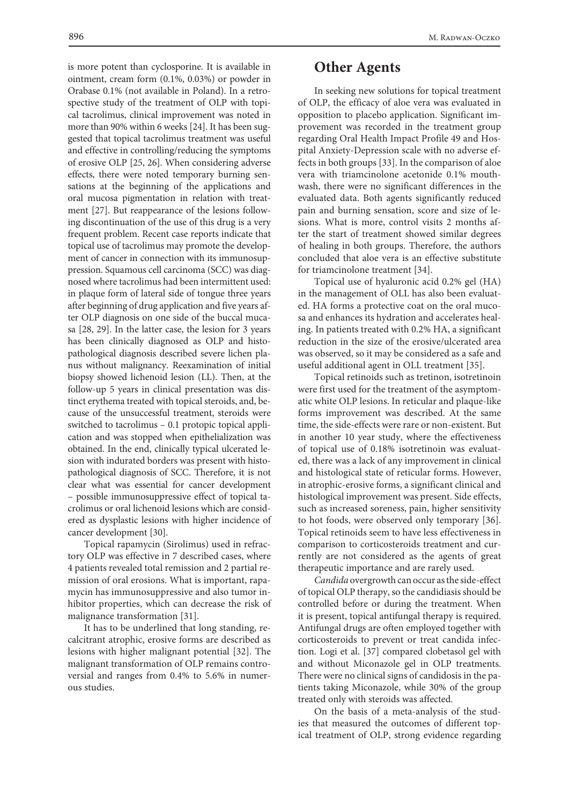is more potent than cyclosporine. It is available in ointment, cream form (0.1%, 0.03%) or powder in Orabase 0.1% (not available in Poland). In a retrospective study of the treatment of OLP with topical tacrolimus, clinical improvement was noted in more than 90% within 6 weeks [24]. It has been suggested that topical tacrolimus treatment was useful and effective in controlling/reducing the symptoms of erosive OLP [25, 26]. When considering adverse effects, there were noted temporary burning sensations at the beginning of the applications and oral mucosa pigmentation in relation with treatment [27]. But reappearance of the lesions following discontinuation of the use of this drug is a very frequent problem. Recent case reports indicate that topical use of tacrolimus may promote the development of cancer in connection with its immunosuppression. Squamous cell carcinoma (SCC) was diagnosed where tacrolimus had been intermittent used: in plaque form of lateral side of tongue three years after beginning of drug application and five years after OLP diagnosis on one side of the buccal mucasa [28, 29]. In the latter case, the lesion for 3 years has been clinically diagnosed as OLP and histopathological diagnosis described severe lichen planus without malignancy. Reexamination of initial biopsy showed lichenoid lesion (LL). Then, at the follow-up 5 years in clinical presentation was distinct erythema treated with topical steroids, and, because of the unsuccessful treatment, steroids were switched to tacrolimus – 0.1 protopic topical application and was stopped when epithelialization was obtained. In the end, clinically typical ulcerated lesion with indurated borders was present with histopathological diagnosis of SCC. Therefore, it is not clear what was essential for cancer development – possible immunosuppressive effect of topical tacrolimus or oral lichenoid lesions which are considered as dysplastic lesions with higher incidence of cancer development [30].

Topical rapamycin (Sirolimus) used in refractory OLP was effective in 7 described cases, where 4 patients revealed total remission and 2 partial remission of oral erosions. What is important, rapamycin has immunosuppressive and also tumor inhibitor properties, which can decrease the risk of malignance transformation [31].

It has to be underlined that long standing, recalcitrant atrophic, erosive forms are described as lesions with higher malignant potential [32]. The malignant transformation of OLP remains controversial and ranges from 0.4% to 5.6% in numerous studies.

## **Other Agents**

In seeking new solutions for topical treatment of OLP, the efficacy of aloe vera was evaluated in opposition to placebo application. Significant improvement was recorded in the treatment group regarding Oral Health Impact Profile 49 and Hospital Anxiety-Depression scale with no adverse effects in both groups [33]. In the comparison of aloe vera with triamcinolone acetonide 0.1% mouthwash, there were no significant differences in the evaluated data. Both agents significantly reduced pain and burning sensation, score and size of lesions. What is more, control visits 2 months after the start of treatment showed similar degrees of healing in both groups. Therefore, the authors concluded that aloe vera is an effective substitute for triamcinolone treatment [34].

Topical use of hyaluronic acid 0.2% gel (HA) in the management of OLL has also been evaluated. HA forms a protective coat on the oral mucosa and enhances its hydration and accelerates healing. In patients treated with 0.2% HA, a significant reduction in the size of the erosive/ulcerated area was observed, so it may be considered as a safe and useful additional agent in OLL treatment [35].

Topical retinoids such as tretinon, isotretinoin were first used for the treatment of the asymptomatic white OLP lesions. In reticular and plaque-like forms improvement was described. At the same time, the side-effects were rare or non-existent. But in another 10 year study, where the effectiveness of topical use of 0.18% isotretinoin was evaluated, there was a lack of any improvement in clinical and histological state of reticular forms. However, in atrophic-erosive forms, a significant clinical and histological improvement was present. Side effects, such as increased soreness, pain, higher sensitivity to hot foods, were observed only temporary [36]. Topical retinoids seem to have less effectiveness in comparison to corticosteroids treatment and currently are not considered as the agents of great therapeutic importance and are rarely used.

*Candida* overgrowth can occur as the side-effect of topical OLP therapy, so the candidiasis should be controlled before or during the treatment. When it is present, topical antifungal therapy is required. Antifungal drugs are often employed together with corticosteroids to prevent or treat candida infection. Logi et al. [37] compared clobetasol gel with and without Miconazole gel in OLP treatments. There were no clinical signs of candidosis in the patients taking Miconazole, while 30% of the group treated only with steroids was affected.

On the basis of a meta-analysis of the studies that measured the outcomes of different topical treatment of OLP, strong evidence regarding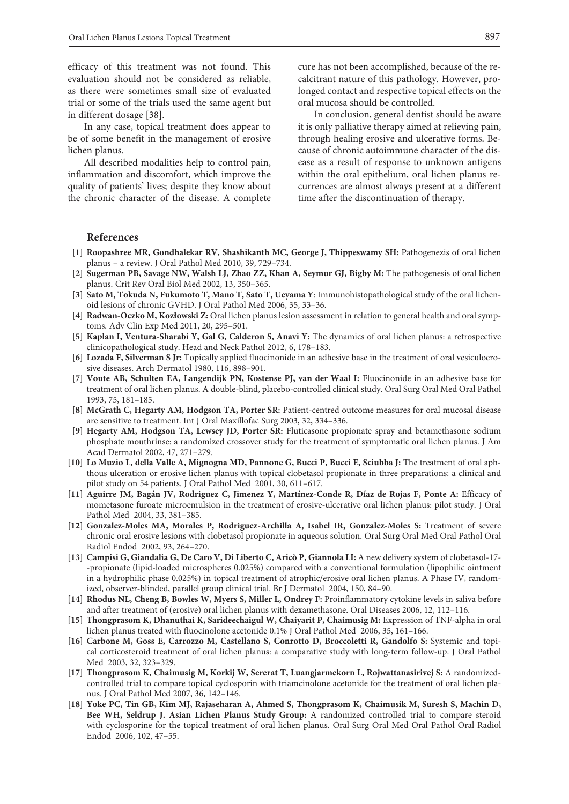efficacy of this treatment was not found. This evaluation should not be considered as reliable, as there were sometimes small size of evaluated trial or some of the trials used the same agent but in different dosage [38].

In any case, topical treatment does appear to be of some benefit in the management of erosive lichen planus.

All described modalities help to control pain, inflammation and discomfort, which improve the quality of patients' lives; despite they know about the chronic character of the disease. A complete

cure has not been accomplished, because of the recalcitrant nature of this pathology. However, prolonged contact and respective topical effects on the oral mucosa should be controlled.

In conclusion, general dentist should be aware it is only palliative therapy aimed at relieving pain, through healing erosive and ulcerative forms. Because of chronic autoimmune character of the disease as a result of response to unknown antigens within the oral epithelium, oral lichen planus recurrences are almost always present at a different time after the discontinuation of therapy.

#### **References**

- **[1] Roopashree MR, Gondhalekar RV, Shashikanth MC, George J, Thippeswamy SH:** Pathogenezis of oral lichen planus – a review. J Oral Pathol Med 2010, 39, 729–734.
- **[2] Sugerman PB, Savage NW, Walsh LJ, Zhao ZZ, Khan A, Seymur GJ, Bigby M:** The pathogenesis of oral lichen planus. Crit Rev Oral Biol Med 2002, 13, 350–365.
- **[3] Sato M, Tokuda N, Fukumoto T, Mano T, Sato T, Ueyama Y**: Immunohistopathological study of the oral lichenoid lesions of chronic GVHD. J Oral Pathol Med 2006, 35, 33–36.
- **[4] Radwan-Oczko M, Kozłowski Z:** Oral lichen planus lesion assessment in relation to general health and oral symptoms. Adv Clin Exp Med 2011, 20, 295–501.
- **[5] Kaplan I, Ventura-Sharabi Y, Gal G, Calderon S, Anavi Y:** The dynamics of oral lichen planus: a retrospective clinicopathological study. Head and Neck Pathol 2012, 6, 178–183.
- **[6] Lozada F, Silverman S Jr:** Topically applied fluocinonide in an adhesive base in the treatment of oral vesiculoerosive diseases. Arch Dermatol 1980, 116, 898–901.
- **[7] Voute AB, Schulten EA, Langendijk PN, Kostense PJ, van der Waal I:** Fluocinonide in an adhesive base for treatment of oral lichen planus. A double-blind, placebo-controlled clinical study. Oral Surg Oral Med Oral Pathol 1993, 75, 181–185.
- **[8] McGrath C, Hegarty AM, Hodgson TA, Porter SR:** Patient-centred outcome measures for oral mucosal disease are sensitive to treatment. Int J Oral Maxillofac Surg 2003, 32, 334–336.
- **[9] Hegarty AM, Hodgson TA, Lewsey JD, Porter SR:** Fluticasone propionate spray and betamethasone sodium phosphate mouthrinse: a randomized crossover study for the treatment of symptomatic oral lichen planus. J Am Acad Dermatol 2002, 47, 271–279.
- **[10] Lo Muzio L, della Valle A, Mignogna MD, Pannone G, Bucci P, Bucci E, Sciubba J:** The treatment of oral aphthous ulceration or erosive lichen planus with topical clobetasol propionate in three preparations: a clinical and pilot study on 54 patients. J Oral Pathol Med 2001, 30, 611–617.
- **[11] Aguirre JM, Bagán JV, Rodriguez C, Jimenez Y, Martínez-Conde R, Díaz de Rojas F, Ponte A:** Efficacy of mometasone furoate microemulsion in the treatment of erosive-ulcerative oral lichen planus: pilot study. J Oral Pathol Med 2004, 33, 381–385.
- **[12] Gonzalez-Moles MA, Morales P, Rodriguez-Archilla A, Isabel IR, Gonzalez-Moles S:** Treatment of severe chronic oral erosive lesions with clobetasol propionate in aqueous solution. Oral Surg Oral Med Oral Pathol Oral Radiol Endod 2002, 93, 264–270.
- **[13] Campisi G, Giandalia G, De Caro V, Di Liberto C, Aricò P, Giannola LI:** A new delivery system of clobetasol-17- -propionate (lipid-loaded microspheres 0.025%) compared with a conventional formulation (lipophilic ointment in a hydrophilic phase 0.025%) in topical treatment of atrophic/erosive oral lichen planus. A Phase IV, randomized, observer-blinded, parallel group clinical trial. Br J Dermatol 2004, 150, 84–90.
- **[14] Rhodus NL, Cheng B, Bowles W, Myers S, Miller L, Ondrey F:** Proinflammatory cytokine levels in saliva before and after treatment of (erosive) oral lichen planus with dexamethasone. Oral Diseases 2006, 12, 112–116.
- **[15] Thongprasom K, Dhanuthai K, Sarideechaigul W, Chaiyarit P, Chaimusig M:** Expression of TNF-alpha in oral lichen planus treated with fluocinolone acetonide 0.1% J Oral Pathol Med 2006, 35, 161–166.
- **[16] Carbone M, Goss E, Carrozzo M, Castellano S, Conrotto D, Broccoletti R, Gandolfo S:** Systemic and topical corticosteroid treatment of oral lichen planus: a comparative study with long-term follow-up. J Oral Pathol Med 2003, 32, 323–329.
- **[17] Thongprasom K, Chaimusig M, Korkij W, Sererat T, Luangjarmekorn L, Rojwattanasirivej S:** A randomizedcontrolled trial to compare topical cyclosporin with triamcinolone acetonide for the treatment of oral lichen planus. J Oral Pathol Med 2007, 36, 142–146.
- **[18] Yoke PC, Tin GB, Kim MJ, Rajaseharan A, Ahmed S, Thongprasom K, Chaimusik M, Suresh S, Machin D, Bee WH, Seldrup J. Asian Lichen Planus Study Group:** A randomized controlled trial to compare steroid with cyclosporine for the topical treatment of oral lichen planus. Oral Surg Oral Med Oral Pathol Oral Radiol Endod 2006, 102, 47–55.